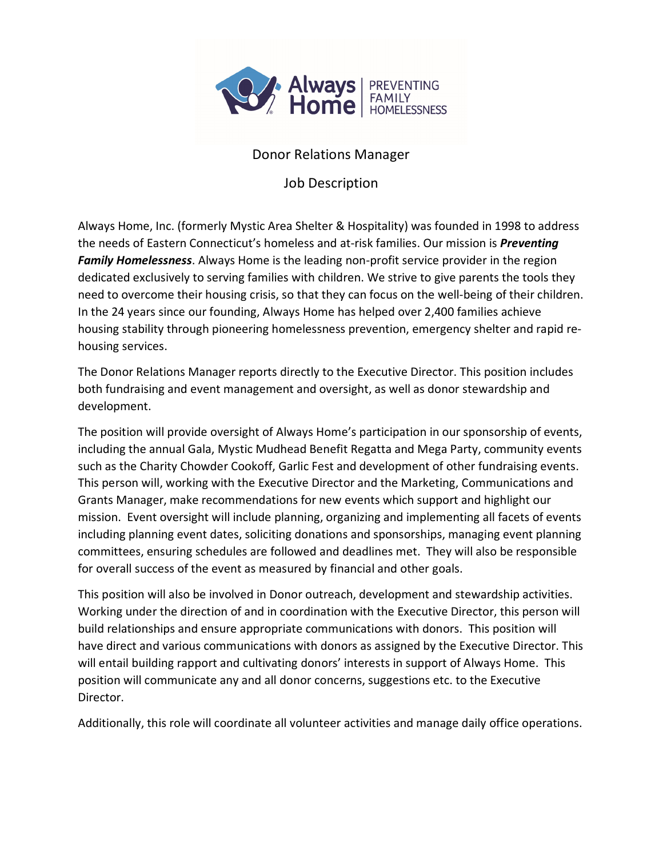

## Donor Relations Manager

Job Description

Always Home, Inc. (formerly Mystic Area Shelter & Hospitality) was founded in 1998 to address the needs of Eastern Connecticut's homeless and at-risk families. Our mission is *Preventing Family Homelessness*. Always Home is the leading non-profit service provider in the region dedicated exclusively to serving families with children. We strive to give parents the tools they need to overcome their housing crisis, so that they can focus on the well-being of their children. In the 24 years since our founding, Always Home has helped over 2,400 families achieve housing stability through pioneering homelessness prevention, emergency shelter and rapid rehousing services.

The Donor Relations Manager reports directly to the Executive Director. This position includes both fundraising and event management and oversight, as well as donor stewardship and development.

The position will provide oversight of Always Home's participation in our sponsorship of events, including the annual Gala, Mystic Mudhead Benefit Regatta and Mega Party, community events such as the Charity Chowder Cookoff, Garlic Fest and development of other fundraising events. This person will, working with the Executive Director and the Marketing, Communications and Grants Manager, make recommendations for new events which support and highlight our mission. Event oversight will include planning, organizing and implementing all facets of events including planning event dates, soliciting donations and sponsorships, managing event planning committees, ensuring schedules are followed and deadlines met. They will also be responsible for overall success of the event as measured by financial and other goals.

This position will also be involved in Donor outreach, development and stewardship activities. Working under the direction of and in coordination with the Executive Director, this person will build relationships and ensure appropriate communications with donors. This position will have direct and various communications with donors as assigned by the Executive Director. This will entail building rapport and cultivating donors' interests in support of Always Home. This position will communicate any and all donor concerns, suggestions etc. to the Executive Director.

Additionally, this role will coordinate all volunteer activities and manage daily office operations.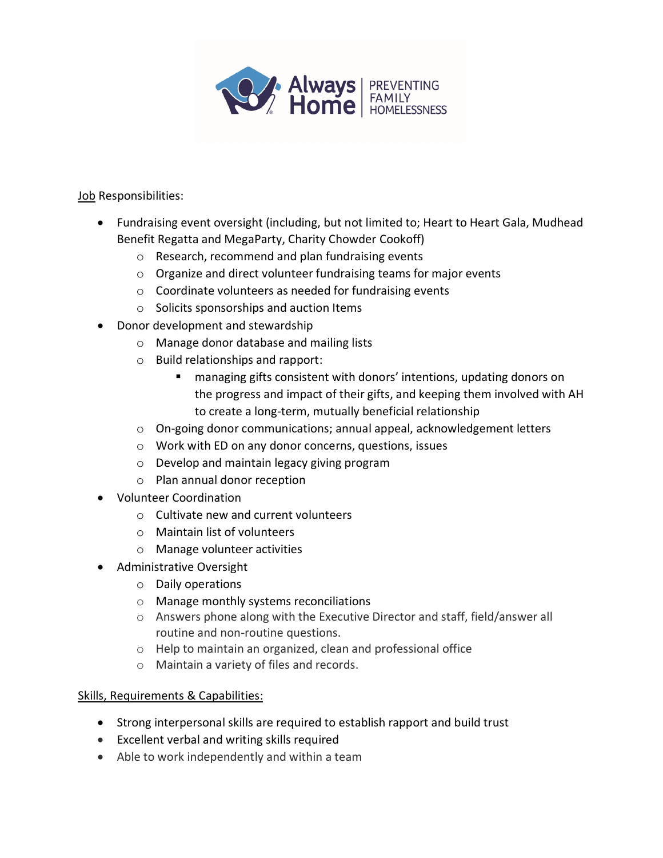

Job Responsibilities:

- Fundraising event oversight (including, but not limited to; Heart to Heart Gala, Mudhead Benefit Regatta and MegaParty, Charity Chowder Cookoff)
	- o Research, recommend and plan fundraising events
	- o Organize and direct volunteer fundraising teams for major events
	- o Coordinate volunteers as needed for fundraising events
	- o Solicits sponsorships and auction Items
- Donor development and stewardship
	- o Manage donor database and mailing lists
	- o Build relationships and rapport:
		- managing gifts consistent with donors' intentions, updating donors on the progress and impact of their gifts, and keeping them involved with AH to create a long-term, mutually beneficial relationship
	- o On-going donor communications; annual appeal, acknowledgement letters
	- o Work with ED on any donor concerns, questions, issues
	- o Develop and maintain legacy giving program
	- o Plan annual donor reception
- Volunteer Coordination
	- o Cultivate new and current volunteers
	- o Maintain list of volunteers
	- o Manage volunteer activities
- Administrative Oversight
	- o Daily operations
	- o Manage monthly systems reconciliations
	- o Answers phone along with the Executive Director and staff, field/answer all routine and non-routine questions.
	- o Help to maintain an organized, clean and professional office
	- o Maintain a variety of files and records.

## Skills, Requirements & Capabilities:

- Strong interpersonal skills are required to establish rapport and build trust
- Excellent verbal and writing skills required
- Able to work independently and within a team